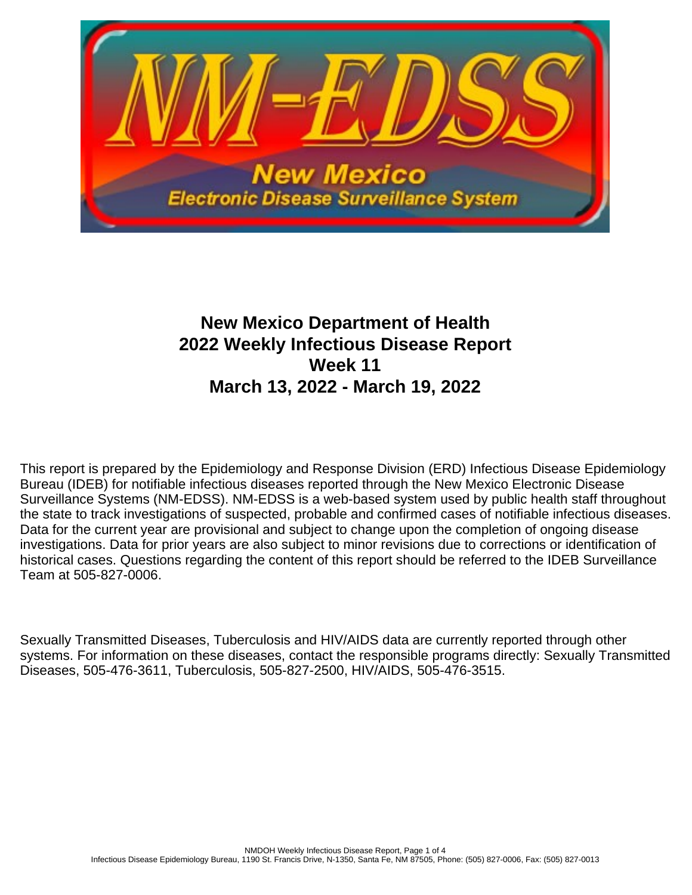

# **New Mexico Department of Health 2022 Weekly Infectious Disease Report Week 11 March 13, 2022 - March 19, 2022**

This report is prepared by the Epidemiology and Response Division (ERD) Infectious Disease Epidemiology Bureau (IDEB) for notifiable infectious diseases reported through the New Mexico Electronic Disease Surveillance Systems (NM-EDSS). NM-EDSS is a web-based system used by public health staff throughout the state to track investigations of suspected, probable and confirmed cases of notifiable infectious diseases. Data for the current year are provisional and subject to change upon the completion of ongoing disease investigations. Data for prior years are also subject to minor revisions due to corrections or identification of historical cases. Questions regarding the content of this report should be referred to the IDEB Surveillance Team at 505-827-0006.

Sexually Transmitted Diseases, Tuberculosis and HIV/AIDS data are currently reported through other systems. For information on these diseases, contact the responsible programs directly: Sexually Transmitted Diseases, 505-476-3611, Tuberculosis, 505-827-2500, HIV/AIDS, 505-476-3515.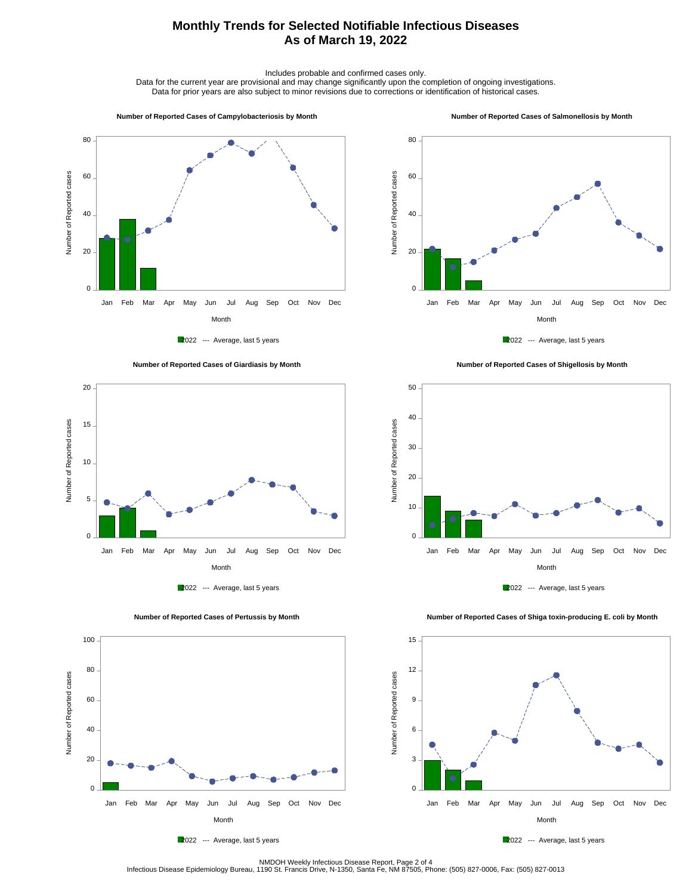## **Monthly Trends for Selected Notifiable Infectious Diseases As of March 19, 2022**

Includes probable and confirmed cases only.

Data for the current year are provisional and may change significantly upon the completion of ongoing investigations. Data for prior years are also subject to minor revisions due to corrections or identification of historical cases.

#### **Number of Reported Cases of Campylobacteriosis by Month**

#### **Number of Reported Cases of Salmonellosis by Month**











 **Number of Reported Cases of Shigellosis by Month**





Number of Reported cases

Number of Reported cases

 $0 -$ 

20

40

60

80

100

 **Number of Reported Cases of Shiga toxin-producing E. coli by Month**



2022 --- Average, last 5 years

Month Jan Feb Mar Apr May Jun Jul Aug Sep Oct Nov Dec



NMDOH Weekly Infectious Disease Report, Page 2 of 4<br>Infectious Disease Epidemiology Bureau, 1190 St. Francis Drive, N-1350, Santa Fe, NM 87505, Phone: (505) 827-0006, Fax: (505) 827-0013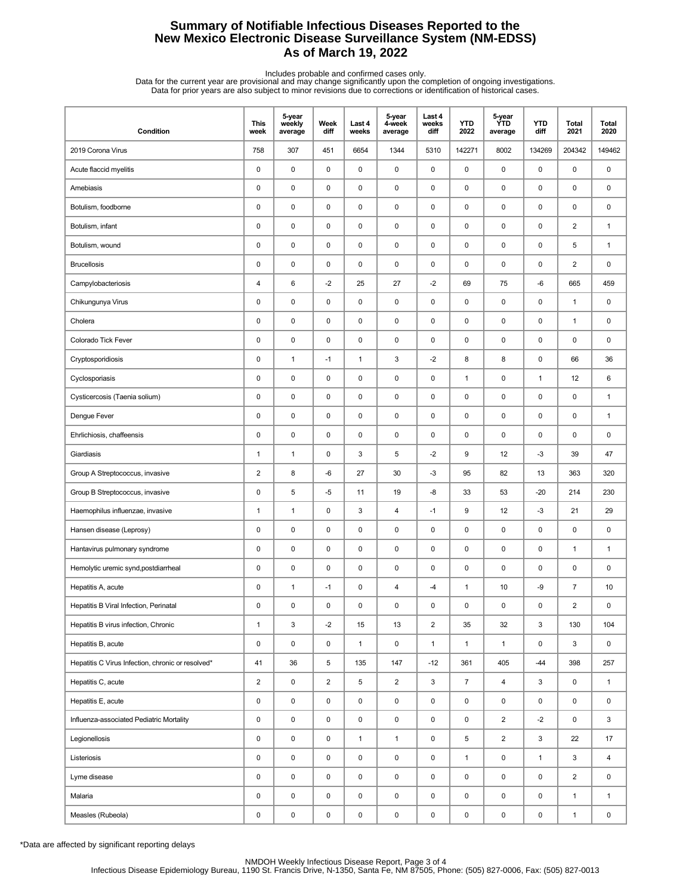## **Summary of Notifiable Infectious Diseases Reported to the New Mexico Electronic Disease Surveillance System (NM-EDSS) As of March 19, 2022**

Includes probable and confirmed cases only.<br>Data for the current year are provisional and may change significantly upon the completion of ongoing investigations.<br>Data for prior years are also subject to minor revisions due

| Condition                                         | This<br>week   | 5-year<br>weekly<br>average | Week<br>diff   | Last 4<br>weeks | 5-year<br>4-week<br>average | Last 4<br>weeks<br>diff | <b>YTD</b><br>2022 | 5-year<br><b>YTD</b><br>average | <b>YTD</b><br>diff | <b>Total</b><br>2021 | <b>Total</b><br>2020 |
|---------------------------------------------------|----------------|-----------------------------|----------------|-----------------|-----------------------------|-------------------------|--------------------|---------------------------------|--------------------|----------------------|----------------------|
| 2019 Corona Virus                                 | 758            | 307                         | 451            | 6654            | 1344                        | 5310                    | 142271             | 8002                            | 134269             | 204342               | 149462               |
| Acute flaccid myelitis                            | 0              | $\mathbf 0$                 | 0              | 0               | 0                           | $\mathbf 0$             | $\pmb{0}$          | 0                               | 0                  | 0                    | 0                    |
| Amebiasis                                         | 0              | $\pmb{0}$                   | $\pmb{0}$      | 0               | 0                           | $\pmb{0}$               | $\pmb{0}$          | 0                               | $\pmb{0}$          | 0                    | 0                    |
| Botulism, foodborne                               | 0              | $\mathbf 0$                 | 0              | 0               | 0                           | 0                       | $\pmb{0}$          | 0                               | 0                  | 0                    | 0                    |
| Botulism, infant                                  | 0              | $\pmb{0}$                   | $\pmb{0}$      | $\mathsf 0$     | 0                           | $\pmb{0}$               | $\pmb{0}$          | $\mathsf 0$                     | $\pmb{0}$          | $\overline{2}$       | $\mathbf{1}$         |
| Botulism, wound                                   | 0              | $\pmb{0}$                   | 0              | 0               | 0                           | $\pmb{0}$               | 0                  | 0                               | $\pmb{0}$          | 5                    | $\mathbf{1}$         |
| <b>Brucellosis</b>                                | 0              | $\pmb{0}$                   | $\pmb{0}$      | 0               | 0                           | 0                       | $\pmb{0}$          | 0                               | 0                  | $\overline{2}$       | 0                    |
| Campylobacteriosis                                | 4              | 6                           | $-2$           | 25              | 27                          | $-2$                    | 69                 | 75                              | -6                 | 665                  | 459                  |
| Chikungunya Virus                                 | 0              | $\mathbf 0$                 | 0              | 0               | 0                           | 0                       | $\pmb{0}$          | 0                               | 0                  | 1                    | 0                    |
| Cholera                                           | 0              | $\mathbf 0$                 | 0              | 0               | 0                           | 0                       | $\pmb{0}$          | 0                               | $\pmb{0}$          | $\mathbf{1}$         | 0                    |
| Colorado Tick Fever                               | 0              | $\pmb{0}$                   | 0              | 0               | 0                           | 0                       | 0                  | 0                               | 0                  | 0                    | 0                    |
| Cryptosporidiosis                                 | 0              | $\mathbf{1}$                | $-1$           | $\mathbf{1}$    | 3                           | $-2$                    | 8                  | 8                               | 0                  | 66                   | 36                   |
| Cyclosporiasis                                    | 0              | $\mathbf 0$                 | $\pmb{0}$      | 0               | 0                           | $\pmb{0}$               | $\mathbf{1}$       | 0                               | $\mathbf{1}$       | 12                   | 6                    |
| Cysticercosis (Taenia solium)                     | 0              | $\mathbf 0$                 | 0              | 0               | 0                           | 0                       | $\pmb{0}$          | 0                               | 0                  | 0                    | $\mathbf{1}$         |
| Dengue Fever                                      | 0              | $\pmb{0}$                   | $\pmb{0}$      | $\mathsf 0$     | 0                           | $\pmb{0}$               | $\pmb{0}$          | 0                               | $\pmb{0}$          | 0                    | $\mathbf{1}$         |
| Ehrlichiosis, chaffeensis                         | 0              | $\pmb{0}$                   | 0              | 0               | 0                           | $\mathbf 0$             | 0                  | 0                               | $\pmb{0}$          | 0                    | 0                    |
| Giardiasis                                        | $\mathbf{1}$   | $\mathbf{1}$                | 0              | 3               | 5                           | $-2$                    | 9                  | 12                              | $-3$               | 39                   | 47                   |
| Group A Streptococcus, invasive                   | $\overline{c}$ | 8                           | -6             | 27              | 30                          | $-3$                    | 95                 | 82                              | 13                 | 363                  | 320                  |
| Group B Streptococcus, invasive                   | 0              | 5                           | -5             | 11              | 19                          | -8                      | 33                 | 53                              | $-20$              | 214                  | 230                  |
| Haemophilus influenzae, invasive                  | $\mathbf{1}$   | $\mathbf{1}$                | 0              | 3               | 4                           | $-1$                    | 9                  | 12                              | $-3$               | 21                   | 29                   |
| Hansen disease (Leprosy)                          | 0              | $\pmb{0}$                   | 0              | 0               | 0                           | 0                       | 0                  | 0                               | $\pmb{0}$          | 0                    | 0                    |
| Hantavirus pulmonary syndrome                     | 0              | $\pmb{0}$                   | 0              | 0               | 0                           | 0                       | $\pmb{0}$          | 0                               | 0                  | $\mathbf{1}$         | $\mathbf{1}$         |
| Hemolytic uremic synd, postdiarrheal              | 0              | $\mathbf 0$                 | 0              | 0               | 0                           | 0                       | $\pmb{0}$          | 0                               | $\pmb{0}$          | 0                    | 0                    |
| Hepatitis A, acute                                | 0              | $\mathbf{1}$                | $-1$           | 0               | 4                           | $-4$                    | $\mathbf{1}$       | 10                              | -9                 | $\overline{7}$       | 10                   |
| Hepatitis B Viral Infection, Perinatal            | 0              | $\pmb{0}$                   | $\mathbf 0$    | $\mathbf 0$     | $\pmb{0}$                   | 0                       | $\mathbf 0$        | 0                               | 0                  | $\overline{2}$       | $\pmb{0}$            |
| Hepatitis B virus infection, Chronic              | $\mathbf{1}$   | 3                           | $-2$           | 15              | 13                          | $\overline{a}$          | 35                 | 32                              | 3                  | 130                  | 104                  |
| Hepatitis B, acute                                | 0              | $\pmb{0}$                   | 0              | $\mathbf{1}$    | 0                           | $\mathbf{1}$            | $\mathbf{1}$       | $\mathbf{1}$                    | $\mathbf 0$        | 3                    | $\mathsf 0$          |
| Hepatitis C Virus Infection, chronic or resolved* | 41             | 36                          | 5              | 135             | 147                         | $-12$                   | 361                | 405                             | $-44$              | 398                  | 257                  |
| Hepatitis C, acute                                | $\overline{a}$ | $\pmb{0}$                   | $\overline{2}$ | 5               | $\overline{2}$              | $\mathbf{3}$            | $\overline{7}$     | $\overline{4}$                  | 3                  | 0                    | $\mathbf{1}$         |
| Hepatitis E, acute                                | 0              | $\pmb{0}$                   | 0              | 0               | $\pmb{0}$                   | $\mathbf 0$             | $\pmb{0}$          | 0                               | 0                  | 0                    | 0                    |
| Influenza-associated Pediatric Mortality          | 0              | $\pmb{0}$                   | 0              | 0               | $\pmb{0}$                   | $\mathbf 0$             | 0                  | $\overline{2}$                  | $-2$               | 0                    | 3                    |
| Legionellosis                                     | 0              | $\pmb{0}$                   | 0              | $\mathbf{1}$    | $\mathbf{1}$                | $\mathbf 0$             | 5                  | $\overline{2}$                  | 3                  | 22                   | 17                   |
| Listeriosis                                       | 0              | $\pmb{0}$                   | 0              | 0               | $\mathsf 0$                 | $\mathbf 0$             | $\mathbf{1}$       | 0                               | $\mathbf{1}$       | 3                    | $\overline{4}$       |
| Lyme disease                                      | 0              | $\pmb{0}$                   | 0              | 0               | $\mathsf 0$                 | $\mathsf 0$             | 0                  | 0                               | 0                  | $\overline{2}$       | 0                    |
| Malaria                                           | 0              | $\pmb{0}$                   | 0              | 0               | $\pmb{0}$                   | $\mathbf 0$             | 0                  | 0                               | 0                  | $\mathbf{1}$         | $\mathbf{1}$         |
| Measles (Rubeola)                                 | 0              | $\pmb{0}$                   | $\pmb{0}$      | $\pmb{0}$       | $\pmb{0}$                   | 0                       | 0                  | $\pmb{0}$                       | $\mathsf 0$        | $\mathbf{1}$         | 0                    |

\*Data are affected by significant reporting delays